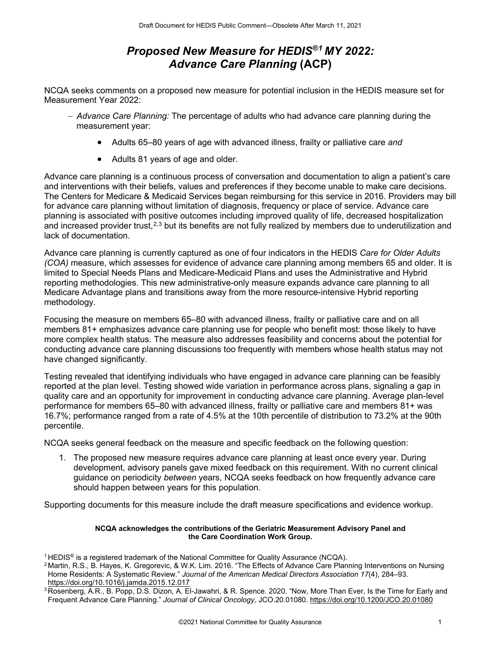# *Proposed New Measure for HEDIS®[1](#page-0-0) MY 2022: Advance Care Planning* **(ACP)**

NCQA seeks comments on a proposed new measure for potential inclusion in the HEDIS measure set for Measurement Year 2022:

- *Advance Care Planning:* The percentage of adults who had advance care planning during the measurement year:
	- Adults 65–80 years of age with advanced illness, frailty or palliative care *and*
	- Adults 81 years of age and older.

Advance care planning is a continuous process of conversation and documentation to align a patient's care and interventions with their beliefs, values and preferences if they become unable to make care decisions. The Centers for Medicare & Medicaid Services began reimbursing for this service in 2016. Providers may bill for advance care planning without limitation of diagnosis, frequency or place of service. Advance care planning is associated with positive outcomes including improved quality of life, decreased hospitalization and increased provider trust, $^{\rm 2,3}$  $^{\rm 2,3}$  $^{\rm 2,3}$  $^{\rm 2,3}$  but its benefits are not fully realized by members due to underutilization and lack of documentation.

Advance care planning is currently captured as one of four indicators in the HEDIS *Care for Older Adults (COA)* measure, which assesses for evidence of advance care planning among members 65 and older. It is limited to Special Needs Plans and Medicare-Medicaid Plans and uses the Administrative and Hybrid reporting methodologies. This new administrative-only measure expands advance care planning to all Medicare Advantage plans and transitions away from the more resource-intensive Hybrid reporting methodology.

Focusing the measure on members 65–80 with advanced illness, frailty or palliative care and on all members 81+ emphasizes advance care planning use for people who benefit most: those likely to have more complex health status. The measure also addresses feasibility and concerns about the potential for conducting advance care planning discussions too frequently with members whose health status may not have changed significantly.

Testing revealed that identifying individuals who have engaged in advance care planning can be feasibly reported at the plan level. Testing showed wide variation in performance across plans, signaling a gap in quality care and an opportunity for improvement in conducting advance care planning. Average plan-level performance for members 65–80 with advanced illness, frailty or palliative care and members 81+ was 16.7%; performance ranged from a rate of 4.5% at the 10th percentile of distribution to 73.2% at the 90th percentile.

NCQA seeks general feedback on the measure and specific feedback on the following question:

1. The proposed new measure requires advance care planning at least once every year. During development, advisory panels gave mixed feedback on this requirement. With no current clinical guidance on periodicity *between* years, NCQA seeks feedback on how frequently advance care should happen between years for this population.

Supporting documents for this measure include the draft measure specifications and evidence workup.

#### **NCQA acknowledges the contributions of the Geriatric Measurement Advisory Panel and the Care Coordination Work Group.**

<span id="page-0-1"></span><span id="page-0-0"></span> $^1$ HEDIS® is a registered trademark of the National Committee for Quality Assurance (NCQA).<br><sup>2</sup>Martin, R.S., B. Hayes, K. Gregorevic, & W.K. Lim. 2016. "The Effects of Advance Care Planning Interventions on Nursing Home Residents: A Systematic Review." *Journal of the American Medical Directors Association 17*(4), 284–93. https://doi.org/10.1016/j.jamda.2015.12.017

<span id="page-0-2"></span><sup>&</sup>lt;sup>3</sup> Rosenberg, A.R., B. Popp, D.S. Dizon, A. El-Jawahri, & R. Spence. 2020. "Now, More Than Ever, Is the Time for Early and Frequent Advance Care Planning." *Journal of Clinical Oncology,* JCO.20.01080. https://doi.org/10.1200/JCO.20.01080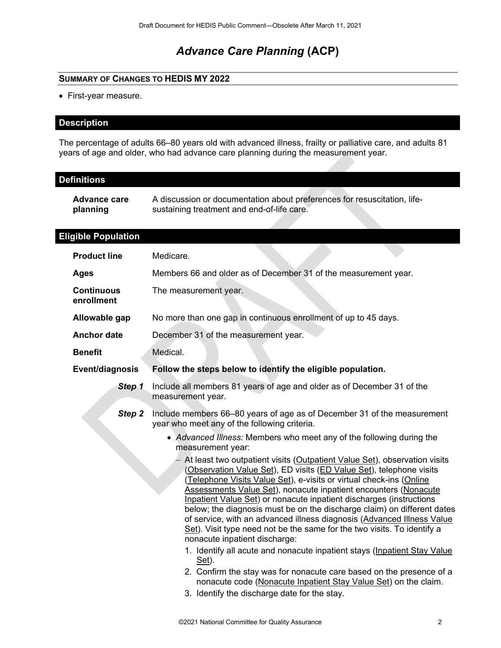# *Advance Care Planning* **(ACP)**

## **SUMMARY OF CHANGES TO HEDIS MY 2022**

• First-year measure.

### **Description**

The percentage of adults 66–80 years old with advanced illness, frailty or palliative care, and adults 81 years of age and older, who had advance care planning during the measurement year.

| <b>Definitions</b>              |                                                                                                                                                                                                                                                                                                                                                                                                                                                                                                                                                                                                                                                                                                                                                                                                                                                                                                                                   |
|---------------------------------|-----------------------------------------------------------------------------------------------------------------------------------------------------------------------------------------------------------------------------------------------------------------------------------------------------------------------------------------------------------------------------------------------------------------------------------------------------------------------------------------------------------------------------------------------------------------------------------------------------------------------------------------------------------------------------------------------------------------------------------------------------------------------------------------------------------------------------------------------------------------------------------------------------------------------------------|
| <b>Advance care</b><br>planning | A discussion or documentation about preferences for resuscitation, life-<br>sustaining treatment and end-of-life care.                                                                                                                                                                                                                                                                                                                                                                                                                                                                                                                                                                                                                                                                                                                                                                                                            |
| <b>Eligible Population</b>      |                                                                                                                                                                                                                                                                                                                                                                                                                                                                                                                                                                                                                                                                                                                                                                                                                                                                                                                                   |
| <b>Product line</b>             | Medicare.                                                                                                                                                                                                                                                                                                                                                                                                                                                                                                                                                                                                                                                                                                                                                                                                                                                                                                                         |
| <b>Ages</b>                     | Members 66 and older as of December 31 of the measurement year.                                                                                                                                                                                                                                                                                                                                                                                                                                                                                                                                                                                                                                                                                                                                                                                                                                                                   |
| <b>Continuous</b><br>enrollment | The measurement year.                                                                                                                                                                                                                                                                                                                                                                                                                                                                                                                                                                                                                                                                                                                                                                                                                                                                                                             |
| Allowable gap                   | No more than one gap in continuous enrollment of up to 45 days.                                                                                                                                                                                                                                                                                                                                                                                                                                                                                                                                                                                                                                                                                                                                                                                                                                                                   |
| <b>Anchor date</b>              | December 31 of the measurement year.                                                                                                                                                                                                                                                                                                                                                                                                                                                                                                                                                                                                                                                                                                                                                                                                                                                                                              |
| <b>Benefit</b>                  | Medical.                                                                                                                                                                                                                                                                                                                                                                                                                                                                                                                                                                                                                                                                                                                                                                                                                                                                                                                          |
| Event/diagnosis                 | Follow the steps below to identify the eligible population.                                                                                                                                                                                                                                                                                                                                                                                                                                                                                                                                                                                                                                                                                                                                                                                                                                                                       |
| Step 1                          | Include all members 81 years of age and older as of December 31 of the<br>measurement year.                                                                                                                                                                                                                                                                                                                                                                                                                                                                                                                                                                                                                                                                                                                                                                                                                                       |
| Step 2                          | Include members 66-80 years of age as of December 31 of the measurement<br>year who meet any of the following criteria.                                                                                                                                                                                                                                                                                                                                                                                                                                                                                                                                                                                                                                                                                                                                                                                                           |
|                                 | • Advanced Illness: Members who meet any of the following during the<br>measurement year:                                                                                                                                                                                                                                                                                                                                                                                                                                                                                                                                                                                                                                                                                                                                                                                                                                         |
|                                 | At least two outpatient visits (Outpatient Value Set), observation visits<br>(Observation Value Set), ED visits (ED Value Set), telephone visits<br><u>(Telephone Visits Value Set),</u> e-visits or virtual check-ins (Online<br>Assessments Value Set), nonacute inpatient encounters (Nonacute<br>Inpatient Value Set) or nonacute inpatient discharges (instructions<br>below; the diagnosis must be on the discharge claim) on different dates<br>of service, with an advanced illness diagnosis (Advanced Illness Value<br>Set). Visit type need not be the same for the two visits. To identify a<br>nonacute inpatient discharge:<br>1. Identify all acute and nonacute inpatient stays (Inpatient Stay Value<br><u>Set</u> ).<br>2. Confirm the stay was for nonacute care based on the presence of a<br>nonacute code (Nonacute Inpatient Stay Value Set) on the claim.<br>3. Identify the discharge date for the stay. |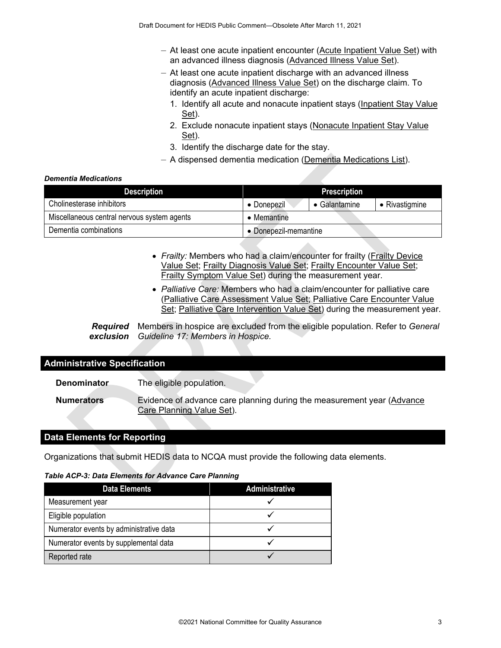- At least one acute inpatient encounter (Acute Inpatient Value Set) with an advanced illness diagnosis (Advanced Illness Value Set).
- At least one acute inpatient discharge with an advanced illness diagnosis (Advanced Illness Value Set) on the discharge claim. To identify an acute inpatient discharge:
	- 1. Identify all acute and nonacute inpatient stays (Inpatient Stay Value Set).
	- 2. Exclude nonacute inpatient stays (Nonacute Inpatient Stay Value Set).
	- 3. Identify the discharge date for the stay.
- A dispensed dementia medication (Dementia Medications List).

#### *Dementia Medications*

| <b>Description</b>                             |             | Prescription          |                |
|------------------------------------------------|-------------|-----------------------|----------------|
| Cholinesterase inhibitors                      | • Donepezil | $\bullet$ Galantamine | • Rivastigmine |
| Miscellaneous central nervous system agents    | • Memantine |                       |                |
| Dementia combinations<br>• Donepezil-memantine |             |                       |                |

- *Frailty:* Members who had a claim/encounter for frailty (*Frailty Device*) Value Set; Frailty Diagnosis Value Set; Frailty Encounter Value Set; Frailty Symptom Value Set) during the measurement year.
- *Palliative Care:* Members who had a claim/encounter for palliative care (Palliative Care Assessment Value Set; Palliative Care Encounter Value Set; Palliative Care Intervention Value Set) during the measurement year.

*Required* Members in hospice are excluded from the eligible population. Refer to *General exclusion Guideline 17: Members in Hospice.*

## **Administrative Specification**

**Denominator** The eligible population.

**Numerators** Evidence of advance care planning during the measurement year (Advance Care Planning Value Set).

## **Data Elements for Reporting**

Organizations that submit HEDIS data to NCQA must provide the following data elements.

#### *Table ACP-3: Data Elements for Advance Care Planning*

| <b>Data Elements</b>                    | <b>Administrative</b> |
|-----------------------------------------|-----------------------|
| Measurement year                        |                       |
| Eligible population                     |                       |
| Numerator events by administrative data |                       |
| Numerator events by supplemental data   |                       |
| Reported rate                           |                       |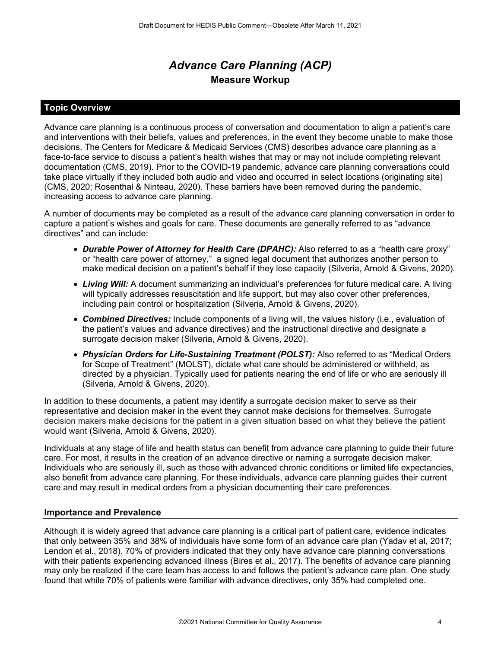# *Advance Care Planning (ACP)*  **Measure Workup**

## **Topic Overview**

Advance care planning is a continuous process of conversation and documentation to align a patient's care and interventions with their beliefs, values and preferences, in the event they become unable to make those decisions. The Centers for Medicare & Medicaid Services (CMS) describes advance care planning as a face-to-face service to discuss a patient's health wishes that may or may not include completing relevant documentation (CMS, 2019). Prior to the COVID-19 pandemic, advance care planning conversations could take place virtually if they included both audio and video and occurred in select locations (originating site) (CMS, 2020; Rosenthal & Ninteau, 2020). These barriers have been removed during the pandemic, increasing access to advance care planning.

A number of documents may be completed as a result of the advance care planning conversation in order to capture a patient's wishes and goals for care. These documents are generally referred to as "advance directives" and can include:

- *Durable Power of Attorney for Health Care (DPAHC):* Also referred to as a "health care proxy" or "health care power of attorney," a signed legal document that authorizes another person to make medical decision on a patient's behalf if they lose capacity (Silveria, Arnold & Givens, 2020).
- *Living Will:* A document summarizing an individual's preferences for future medical care. A living will typically addresses resuscitation and life support, but may also cover other preferences, including pain control or hospitalization (Silveria, Arnold & Givens, 2020).
- *Combined Directives:* Include components of a living will, the values history (i.e., evaluation of the patient's values and advance directives) and the instructional directive and designate a surrogate decision maker (Silveria, Arnold & Givens, 2020).
- *Physician Orders for Life-Sustaining Treatment (POLST):* Also referred to as "Medical Orders for Scope of Treatment" (MOLST), dictate what care should be administered or withheld, as directed by a physician. Typically used for patients nearing the end of life or who are seriously ill (Silveria, Arnold & Givens, 2020).

In addition to these documents, a patient may identify a surrogate decision maker to serve as their representative and decision maker in the event they cannot make decisions for themselves. Surrogate decision makers make decisions for the patient in a given situation based on what they believe the patient would want (Silveria, Arnold & Givens, 2020).

Individuals at any stage of life and health status can benefit from advance care planning to guide their future care. For most, it results in the creation of an advance directive or naming a surrogate decision maker. Individuals who are seriously ill, such as those with advanced chronic conditions or limited life expectancies, also benefit from advance care planning. For these individuals, advance care planning guides their current care and may result in medical orders from a physician documenting their care preferences.

### **Importance and Prevalence**

Although it is widely agreed that advance care planning is a critical part of patient care, evidence indicates that only between 35% and 38% of individuals have some form of an advance care plan (Yadav et al, 2017; Lendon et al., 2018). 70% of providers indicated that they only have advance care planning conversations with their patients experiencing advanced illness (Bires et al., 2017). The benefits of advance care planning may only be realized if the care team has access to and follows the patient's advance care plan. One study found that while 70% of patients were familiar with advance directives, only 35% had completed one.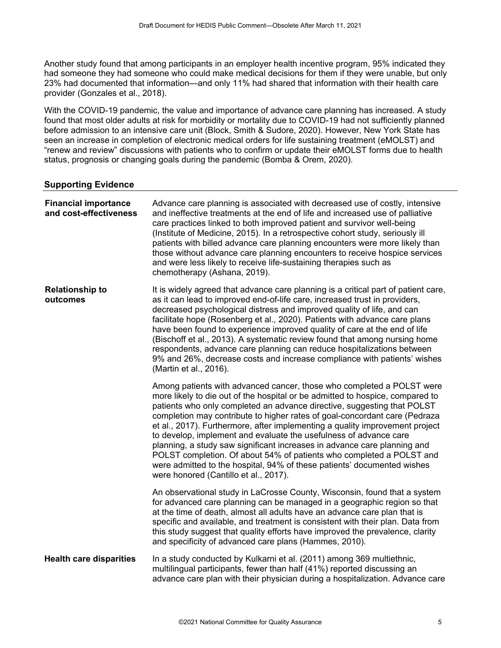Another study found that among participants in an employer health incentive program, 95% indicated they had someone they had someone who could make medical decisions for them if they were unable, but only 23% had documented that information—and only 11% had shared that information with their health care provider (Gonzales et al., 2018).

With the COVID-19 pandemic, the value and importance of advance care planning has increased. A study found that most older adults at risk for morbidity or mortality due to COVID-19 had not sufficiently planned before admission to an intensive care unit (Block, Smith & Sudore, 2020). However, New York State has seen an increase in completion of electronic medical orders for life sustaining treatment (eMOLST) and "renew and review" discussions with patients who to confirm or update their eMOLST forms due to health status, prognosis or changing goals during the pandemic (Bomba & Orem, 2020).

### **Supporting Evidence**

| <b>Financial importance</b><br>and cost-effectiveness | Advance care planning is associated with decreased use of costly, intensive<br>and ineffective treatments at the end of life and increased use of palliative<br>care practices linked to both improved patient and survivor well-being<br>(Institute of Medicine, 2015). In a retrospective cohort study, seriously ill<br>patients with billed advance care planning encounters were more likely than<br>those without advance care planning encounters to receive hospice services<br>and were less likely to receive life-sustaining therapies such as<br>chemotherapy (Ashana, 2019).                                                                                                                                                    |
|-------------------------------------------------------|----------------------------------------------------------------------------------------------------------------------------------------------------------------------------------------------------------------------------------------------------------------------------------------------------------------------------------------------------------------------------------------------------------------------------------------------------------------------------------------------------------------------------------------------------------------------------------------------------------------------------------------------------------------------------------------------------------------------------------------------|
| <b>Relationship to</b><br>outcomes                    | It is widely agreed that advance care planning is a critical part of patient care,<br>as it can lead to improved end-of-life care, increased trust in providers,<br>decreased psychological distress and improved quality of life, and can<br>facilitate hope (Rosenberg et al., 2020). Patients with advance care plans<br>have been found to experience improved quality of care at the end of life<br>(Bischoff et al., 2013). A systematic review found that among nursing home<br>respondents, advance care planning can reduce hospitalizations between<br>9% and 26%, decrease costs and increase compliance with patients' wishes<br>(Martin et al., 2016).                                                                          |
|                                                       | Among patients with advanced cancer, those who completed a POLST were<br>more likely to die out of the hospital or be admitted to hospice, compared to<br>patients who only completed an advance directive, suggesting that POLST<br>completion may contribute to higher rates of goal-concordant care (Pedraza<br>et al., 2017). Furthermore, after implementing a quality improvement project<br>to develop, implement and evaluate the usefulness of advance care<br>planning, a study saw significant increases in advance care planning and<br>POLST completion. Of about 54% of patients who completed a POLST and<br>were admitted to the hospital, 94% of these patients' documented wishes<br>were honored (Cantillo et al., 2017). |
|                                                       | An observational study in LaCrosse County, Wisconsin, found that a system<br>for advanced care planning can be managed in a geographic region so that<br>at the time of death, almost all adults have an advance care plan that is<br>specific and available, and treatment is consistent with their plan. Data from<br>this study suggest that quality efforts have improved the prevalence, clarity<br>and specificity of advanced care plans (Hammes, 2010).                                                                                                                                                                                                                                                                              |
| <b>Health care disparities</b>                        | In a study conducted by Kulkarni et al. (2011) among 369 multiethnic,<br>multilingual participants, fewer than half (41%) reported discussing an<br>advance care plan with their physician during a hospitalization. Advance care                                                                                                                                                                                                                                                                                                                                                                                                                                                                                                            |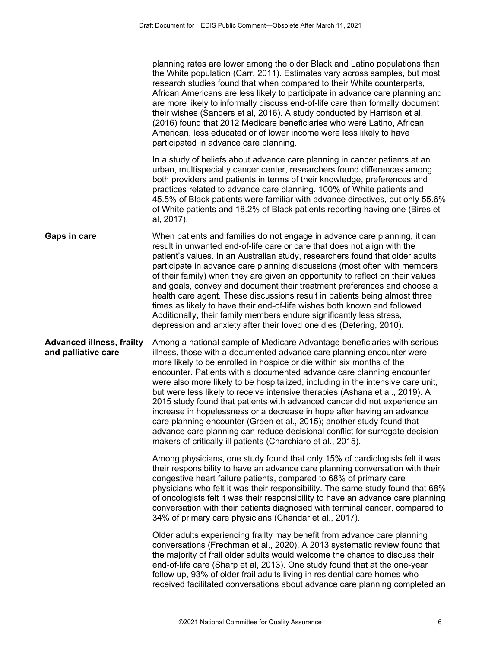|                                                         | planning rates are lower among the older Black and Latino populations than<br>the White population (Carr, 2011). Estimates vary across samples, but most<br>research studies found that when compared to their White counterparts,<br>African Americans are less likely to participate in advance care planning and<br>are more likely to informally discuss end-of-life care than formally document<br>their wishes (Sanders et al, 2016). A study conducted by Harrison et al.<br>(2016) found that 2012 Medicare beneficiaries who were Latino, African<br>American, less educated or of lower income were less likely to have<br>participated in advance care planning.                                                                                                                                                                            |
|---------------------------------------------------------|--------------------------------------------------------------------------------------------------------------------------------------------------------------------------------------------------------------------------------------------------------------------------------------------------------------------------------------------------------------------------------------------------------------------------------------------------------------------------------------------------------------------------------------------------------------------------------------------------------------------------------------------------------------------------------------------------------------------------------------------------------------------------------------------------------------------------------------------------------|
|                                                         | In a study of beliefs about advance care planning in cancer patients at an<br>urban, multispecialty cancer center, researchers found differences among<br>both providers and patients in terms of their knowledge, preferences and<br>practices related to advance care planning. 100% of White patients and<br>45.5% of Black patients were familiar with advance directives, but only 55.6%<br>of White patients and 18.2% of Black patients reporting having one (Bires et<br>al, 2017).                                                                                                                                                                                                                                                                                                                                                            |
| Gaps in care                                            | When patients and families do not engage in advance care planning, it can<br>result in unwanted end-of-life care or care that does not align with the<br>patient's values. In an Australian study, researchers found that older adults<br>participate in advance care planning discussions (most often with members<br>of their family) when they are given an opportunity to reflect on their values<br>and goals, convey and document their treatment preferences and choose a<br>health care agent. These discussions result in patients being almost three<br>times as likely to have their end-of-life wishes both known and followed.<br>Additionally, their family members endure significantly less stress,<br>depression and anxiety after their loved one dies (Detering, 2010).                                                             |
| <b>Advanced illness, frailty</b><br>and palliative care | Among a national sample of Medicare Advantage beneficiaries with serious<br>illness, those with a documented advance care planning encounter were<br>more likely to be enrolled in hospice or die within six months of the<br>encounter. Patients with a documented advance care planning encounter<br>were also more likely to be hospitalized, including in the intensive care unit,<br>but were less likely to receive intensive therapies (Ashana et al., 2019). A<br>2015 study found that patients with advanced cancer did not experience an<br>increase in hopelessness or a decrease in hope after having an advance<br>care planning encounter (Green et al., 2015); another study found that<br>advance care planning can reduce decisional conflict for surrogate decision<br>makers of critically ill patients (Charchiaro et al., 2015). |
|                                                         | Among physicians, one study found that only 15% of cardiologists felt it was<br>their responsibility to have an advance care planning conversation with their<br>congestive heart failure patients, compared to 68% of primary care<br>physicians who felt it was their responsibility. The same study found that 68%<br>of oncologists felt it was their responsibility to have an advance care planning<br>conversation with their patients diagnosed with terminal cancer, compared to<br>34% of primary care physicians (Chandar et al., 2017).                                                                                                                                                                                                                                                                                                    |
|                                                         | Older adults experiencing frailty may benefit from advance care planning<br>conversations (Frechman et al., 2020). A 2013 systematic review found that<br>the majority of frail older adults would welcome the chance to discuss their<br>end-of-life care (Sharp et al, 2013). One study found that at the one-year<br>follow up, 93% of older frail adults living in residential care homes who<br>received facilitated conversations about advance care planning completed an                                                                                                                                                                                                                                                                                                                                                                       |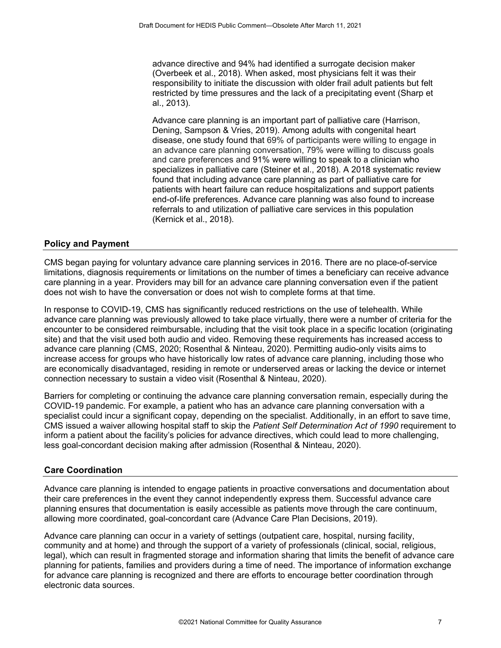advance directive and 94% had identified a surrogate decision maker (Overbeek et al., 2018). When asked, most physicians felt it was their responsibility to initiate the discussion with older frail adult patients but felt restricted by time pressures and the lack of a precipitating event (Sharp et al., 2013).

Advance care planning is an important part of palliative care (Harrison, Dening, Sampson & Vries, 2019). Among adults with congenital heart disease, one study found that 69% of participants were willing to engage in an advance care planning conversation, 79% were willing to discuss goals and care preferences and 91% were willing to speak to a clinician who specializes in palliative care (Steiner et al., 2018). A 2018 systematic review found that including advance care planning as part of palliative care for patients with heart failure can reduce hospitalizations and support patients end-of-life preferences. Advance care planning was also found to increase referrals to and utilization of palliative care services in this population (Kernick et al., 2018).

## **Policy and Payment**

CMS began paying for voluntary advance care planning services in 2016. There are no place-of-service limitations, diagnosis requirements or limitations on the number of times a beneficiary can receive advance care planning in a year. Providers may bill for an advance care planning conversation even if the patient does not wish to have the conversation or does not wish to complete forms at that time.

In response to COVID-19, CMS has significantly reduced restrictions on the use of telehealth. While advance care planning was previously allowed to take place virtually, there were a number of criteria for the encounter to be considered reimbursable, including that the visit took place in a specific location (originating site) and that the visit used both audio and video. Removing these requirements has increased access to advance care planning (CMS, 2020; Rosenthal & Ninteau, 2020). Permitting audio-only visits aims to increase access for groups who have historically low rates of advance care planning, including those who are economically disadvantaged, residing in remote or underserved areas or lacking the device or internet connection necessary to sustain a video visit (Rosenthal & Ninteau, 2020).

Barriers for completing or continuing the advance care planning conversation remain, especially during the COVID-19 pandemic. For example, a patient who has an advance care planning conversation with a specialist could incur a significant copay, depending on the specialist. Additionally, in an effort to save time, CMS issued a waiver allowing hospital staff to skip the *Patient Self Determination Act of 1990* requirement to inform a patient about the facility's policies for advance directives, which could lead to more challenging, less goal-concordant decision making after admission (Rosenthal & Ninteau, 2020).

## **Care Coordination**

Advance care planning is intended to engage patients in proactive conversations and documentation about their care preferences in the event they cannot independently express them. Successful advance care planning ensures that documentation is easily accessible as patients move through the care continuum, allowing more coordinated, goal-concordant care (Advance Care Plan Decisions, 2019).

Advance care planning can occur in a variety of settings (outpatient care, hospital, nursing facility, community and at home) and through the support of a variety of professionals (clinical, social, religious, legal), which can result in fragmented storage and information sharing that limits the benefit of advance care planning for patients, families and providers during a time of need. The importance of information exchange for advance care planning is recognized and there are efforts to encourage better coordination through electronic data sources.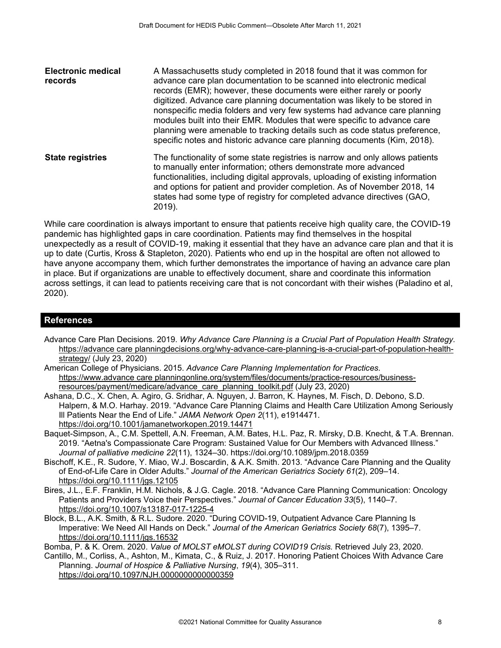| <b>Electronic medical</b><br>records | A Massachusetts study completed in 2018 found that it was common for<br>advance care plan documentation to be scanned into electronic medical<br>records (EMR); however, these documents were either rarely or poorly<br>digitized. Advance care planning documentation was likely to be stored in<br>nonspecific media folders and very few systems had advance care planning<br>modules built into their EMR. Modules that were specific to advance care<br>planning were amenable to tracking details such as code status preference,<br>specific notes and historic advance care planning documents (Kim, 2018). |
|--------------------------------------|----------------------------------------------------------------------------------------------------------------------------------------------------------------------------------------------------------------------------------------------------------------------------------------------------------------------------------------------------------------------------------------------------------------------------------------------------------------------------------------------------------------------------------------------------------------------------------------------------------------------|
| <b>State registries</b>              | The functionality of some state registries is narrow and only allows patients<br>to manually enter information; others demonstrate more advanced<br>functionalities, including digital approvals, uploading of existing information<br>and options for patient and provider completion. As of November 2018, 14<br>states had some type of registry for completed advance directives (GAO,<br>2019).                                                                                                                                                                                                                 |
|                                      |                                                                                                                                                                                                                                                                                                                                                                                                                                                                                                                                                                                                                      |

While care coordination is always important to ensure that patients receive high quality care, the COVID-19 pandemic has highlighted gaps in care coordination. Patients may find themselves in the hospital unexpectedly as a result of COVID-19, making it essential that they have an advance care plan and that it is up to date (Curtis, Kross & Stapleton, 2020). Patients who end up in the hospital are often not allowed to have anyone accompany them, which further demonstrates the importance of having an advance care plan in place. But if organizations are unable to effectively document, share and coordinate this information across settings, it can lead to patients receiving care that is not concordant with their wishes (Paladino et al, 2020).

## **References**

- Advance Care Plan Decisions. 2019. *Why Advance Care Planning is a Crucial Part of Population Health Strategy.* [https://advance care planningdecisions.org/why-advance-care-planning-is-a-crucial-part-of-population-health](https://acpdecisions.org/why-advance-care-planning-is-a-crucial-part-of-population-health-strategy/)[strategy/](https://acpdecisions.org/why-advance-care-planning-is-a-crucial-part-of-population-health-strategy/) (July 23, 2020)
- American College of Physicians. 2015. *Advance Care Planning Implementation for Practices.* [https://www.advance care planningonline.org/system/files/documents/practice-resources/business](https://www.acponline.org/system/files/documents/practice-resources/business-resources/payment/medicare/advance_care_planning_toolkit.pdf)[resources/payment/medicare/advance\\_care\\_planning\\_toolkit.pdf](https://www.acponline.org/system/files/documents/practice-resources/business-resources/payment/medicare/advance_care_planning_toolkit.pdf) (July 23, 2020)
- Ashana, D.C., X. Chen, A. Agiro, G. Sridhar, A. Nguyen, J. Barron, K. Haynes, M. Fisch, D. Debono, S.D. Halpern, & M.O. Harhay. 2019. "Advance Care Planning Claims and Health Care Utilization Among Seriously Ill Patients Near the End of Life." *JAMA Network Open 2*(11), e1914471. <https://doi.org/10.1001/jamanetworkopen.2019.14471>
- Baquet-Simpson, A., C.M. Spettell, A.N. Freeman, A.M. Bates, H.L. Paz, R. Mirsky, D.B. Knecht, & T.A. Brennan. 2019. "Aetna's Compassionate Care Program: Sustained Value for Our Members with Advanced Illness." *Journal of palliative medicine 22*(11), 1324–30. https://doi.org/10.1089/jpm.2018.0359
- Bischoff, K.E., R. Sudore, Y. Miao, W.J. Boscardin, & A.K. Smith. 2013. "Advance Care Planning and the Quality of End-of-Life Care in Older Adults." *Journal of the American Geriatrics Society 61*(2), 209–14. <https://doi.org/10.1111/jgs.12105>
- Bires, J.L., E.F. Franklin, H.M. Nichols, & J.G. Cagle. 2018. "Advance Care Planning Communication: Oncology Patients and Providers Voice their Perspectives." *Journal of Cancer Education 33*(5), 1140–7. <https://doi.org/10.1007/s13187-017-1225-4>
- Block, B.L., A.K. Smith, & R.L. Sudore. 2020. "During COVID-19, Outpatient Advance Care Planning Is Imperative: We Need All Hands on Deck." *Journal of the American Geriatrics Society 68*(7), 1395–7. <https://doi.org/10.1111/jgs.16532>

Bomba, P. & K. Orem. 2020. *Value of MOLST eMOLST during COVID19 Crisis.* Retrieved July 23, 2020.

Cantillo, M., Corliss, A., Ashton, M., Kimata, C., & Ruiz, J. 2017. Honoring Patient Choices With Advance Care Planning. *Journal of Hospice & Palliative Nursing*, *19*(4), 305–311.

<https://doi.org/10.1097/NJH.0000000000000359>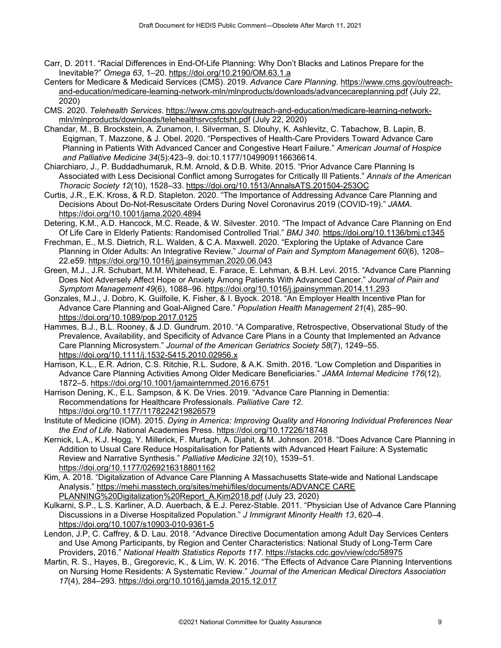- Carr, D. 2011. "Racial Differences in End-Of-Life Planning: Why Don't Blacks and Latinos Prepare for the Inevitable?" *Omega 63*, 1–20.<https://doi.org/10.2190/OM.63.1.a>
- Centers for Medicare & Medicaid Services (CMS). 2019. *Advance Care Planning.* [https://www.cms.gov/outreach](https://www.cms.gov/outreach-and-education/medicare-learning-network-mln/mlnproducts/downloads/advancecareplanning.pdf)[and-education/medicare-learning-network-mln/mlnproducts/downloads/advancecareplanning.pdf](https://www.cms.gov/outreach-and-education/medicare-learning-network-mln/mlnproducts/downloads/advancecareplanning.pdf) (July 22, 2020)
- CMS. 2020. *Telehealth Services*. [https://www.cms.gov/outreach-and-education/medicare-learning-network](https://www.cms.gov/outreach-and-education/medicare-learning-network-mln/mlnproducts/downloads/telehealthsrvcsfctsht.pdf)[mln/mlnproducts/downloads/telehealthsrvcsfctsht.pdf](https://www.cms.gov/outreach-and-education/medicare-learning-network-mln/mlnproducts/downloads/telehealthsrvcsfctsht.pdf) (July 22, 2020)
- Chandar, M., B. Brockstein, A. Zunamon, I. Silverman, S. Dlouhy, K. Ashlevitz, C. Tabachow, B. Lapin, B. Eqigman, T. Mazzone, & J. Obel. 2020. "Perspectives of Health-Care Providers Toward Advance Care Planning in Patients With Advanced Cancer and Congestive Heart Failure." *American Journal of Hospice and Palliative Medicine 34*(5):423–9. doi:10.1177/1049909116636614.
- Chiarchiaro, J., P. Buddadhumaruk, R.M. Arnold, & D.B. White. 2015. "Prior Advance Care Planning Is Associated with Less Decisional Conflict among Surrogates for Critically Ill Patients." *Annals of the American Thoracic Society 12*(10), 1528–33. https://doi.org/10.1513/AnnalsATS.201504-253OC
- Curtis, J.R., E.K. Kross, & R.D. Stapleton. 2020. "The Importance of Addressing Advance Care Planning and Decisions About Do-Not-Resuscitate Orders During Novel Coronavirus 2019 (COVID-19)." *JAMA*. <https://doi.org/10.1001/jama.2020.4894>
- Detering, K.M., A.D. Hancock, M.C. Reade, & W. Silvester. 2010. "The Impact of Advance Care Planning on End Of Life Care in Elderly Patients: Randomised Controlled Trial." *BMJ 340*.<https://doi.org/10.1136/bmj.c1345>
- Frechman, E., M.S. Dietrich, R.L. Walden, & C.A. Maxwell. 2020. "Exploring the Uptake of Advance Care Planning in Older Adults: An Integrative Review." *Journal of Pain and Symptom Management 60*(6), 1208– 22.e59. https://doi.org/10.1016/j.jpainsymman.2020.06.043
- Green, M.J., J.R. Schubart, M.M. Whitehead, E. Farace, E. Lehman, & B.H. Levi. 2015. "Advance Care Planning Does Not Adversely Affect Hope or Anxiety Among Patients With Advanced Cancer." *Journal of Pain and Symptom Management 49*(6), 1088–96. https://doi.org/10.1016/j.jpainsymman.2014.11.293
- Gonzales, M.J., J. Dobro, K. Guilfoile, K. Fisher, & I. Byock. 2018. "An Employer Health Incentive Plan for Advance Care Planning and Goal-Aligned Care." *Population Health Management 21*(4), 285–90. https://doi.org/10.1089/pop.2017.0125
- Hammes, B.J., B.L. Rooney, & J.D. Gundrum. 2010. "A Comparative, Retrospective, Observational Study of the Prevalence, Availability, and Specificity of Advance Care Plans in a County that Implemented an Advance Care Planning Microsystem." *Journal of the American Geriatrics Society 58*(7), 1249–55. <https://doi.org/10.1111/j.1532-5415.2010.02956.x>
- Harrison, K.L., E.R. Adrion, C.S. Ritchie, R.L. Sudore, & A.K. Smith. 2016. "Low Completion and Disparities in Advance Care Planning Activities Among Older Medicare Beneficiaries." *JAMA Internal Medicine 176*(12), 1872–5.<https://doi.org/10.1001/jamainternmed.2016.6751>
- Harrison Dening, K., E.L. Sampson, & K. De Vries. 2019. "Advance Care Planning in Dementia: Recommendations for Healthcare Professionals. *Palliative Care 12*. https://doi.org/10.1177/1178224219826579
- Institute of Medicine (IOM). 2015. *Dying in America: Improving Quality and Honoring Individual Preferences Near the End of Life*. National Academies Press.<https://doi.org/10.17226/18748>
- Kernick, L.A., K.J. Hogg, Y. Millerick, F. Murtagh, A. Djahit, & M. Johnson. 2018. "Does Advance Care Planning in Addition to Usual Care Reduce Hospitalisation for Patients with Advanced Heart Failure: A Systematic Review and Narrative Synthesis." *Palliative Medicine 32*(10), 1539–51. https://doi.org/10.1177/0269216318801162
- Kim, A. 2018. "Digitalization of Advance Care Planning A Massachusetts State-wide and National Landscape Analysis." [https://mehi.masstech.org/sites/mehi/files/documents/ADVANCE CARE](https://mehi.masstech.org/sites/mehi/files/documents/ACP%20Digitalization%20Report_A.Kim2018.pdf)  [PLANNING%20Digitalization%20Report\\_A.Kim2018.pdf](https://mehi.masstech.org/sites/mehi/files/documents/ACP%20Digitalization%20Report_A.Kim2018.pdf) (July 23, 2020)
- Kulkarni, S.P., L.S. Karliner, A.D. Auerbach, & E.J. Perez-Stable. 2011. "Physician Use of Advance Care Planning Discussions in a Diverse Hospitalized Population." *J Immigrant Minority Health 13*, 620–4. <https://doi.org/10.1007/s10903-010-9361-5>
- Lendon, J.P, C. Caffrey, & D. Lau. 2018. "Advance Directive Documentation among Adult Day Services Centers and Use Among Participants, by Region and Center Characteristics: National Study of Long-Term Care Providers, 2016." *National Health Statistics Reports 117*.<https://stacks.cdc.gov/view/cdc/58975>
- Martin, R. S., Hayes, B., Gregorevic, K., & Lim, W. K. 2016. "The Effects of Advance Care Planning Interventions on Nursing Home Residents: A Systematic Review." *Journal of the American Medical Directors Association 17*(4), 284–293.<https://doi.org/10.1016/j.jamda.2015.12.017>